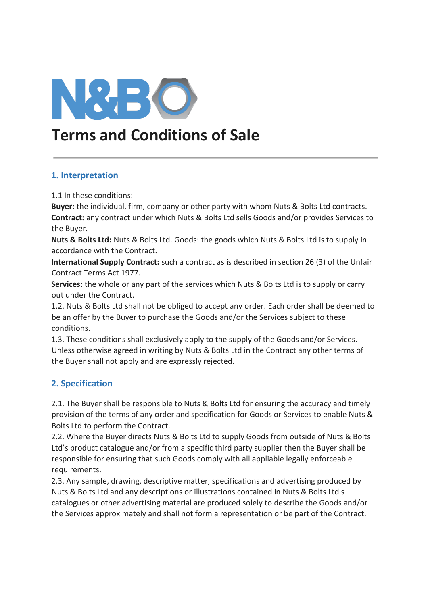

# **Terms and Conditions of Sale**

#### **1. Interpretation**

1.1 In these conditions:

**Buyer:** the individual, firm, company or other party with whom Nuts & Bolts Ltd contracts. **Contract:** any contract under which Nuts & Bolts Ltd sells Goods and/or provides Services to the Buyer.

**Nuts & Bolts Ltd:** Nuts & Bolts Ltd. Goods: the goods which Nuts & Bolts Ltd is to supply in accordance with the Contract.

**International Supply Contract:** such a contract as is described in section 26 (3) of the Unfair Contract Terms Act 1977.

**Services:** the whole or any part of the services which Nuts & Bolts Ltd is to supply or carry out under the Contract.

1.2. Nuts & Bolts Ltd shall not be obliged to accept any order. Each order shall be deemed to be an offer by the Buyer to purchase the Goods and/or the Services subject to these conditions.

1.3. These conditions shall exclusively apply to the supply of the Goods and/or Services. Unless otherwise agreed in writing by Nuts & Bolts Ltd in the Contract any other terms of the Buyer shall not apply and are expressly rejected.

# **2. Specification**

2.1. The Buyer shall be responsible to Nuts & Bolts Ltd for ensuring the accuracy and timely provision of the terms of any order and specification for Goods or Services to enable Nuts & Bolts Ltd to perform the Contract.

2.2. Where the Buyer directs Nuts & Bolts Ltd to supply Goods from outside of Nuts & Bolts Ltd's product catalogue and/or from a specific third party supplier then the Buyer shall be responsible for ensuring that such Goods comply with all appliable legally enforceable requirements.

2.3. Any sample, drawing, descriptive matter, specifications and advertising produced by Nuts & Bolts Ltd and any descriptions or illustrations contained in Nuts & Bolts Ltd's catalogues or other advertising material are produced solely to describe the Goods and/or the Services approximately and shall not form a representation or be part of the Contract.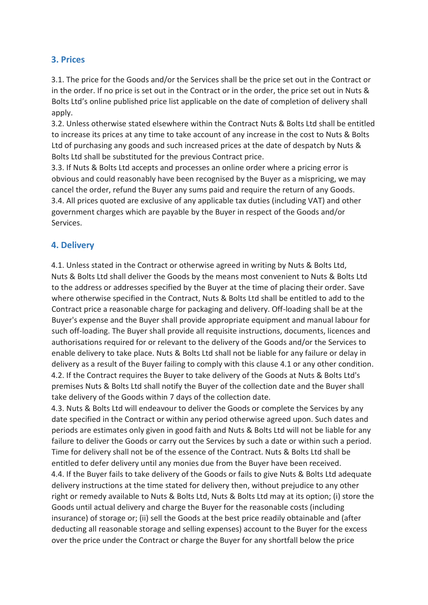#### **3. Prices**

3.1. The price for the Goods and/or the Services shall be the price set out in the Contract or in the order. If no price is set out in the Contract or in the order, the price set out in Nuts & Bolts Ltd's online published price list applicable on the date of completion of delivery shall apply.

3.2. Unless otherwise stated elsewhere within the Contract Nuts & Bolts Ltd shall be entitled to increase its prices at any time to take account of any increase in the cost to Nuts & Bolts Ltd of purchasing any goods and such increased prices at the date of despatch by Nuts & Bolts Ltd shall be substituted for the previous Contract price.

3.3. If Nuts & Bolts Ltd accepts and processes an online order where a pricing error is obvious and could reasonably have been recognised by the Buyer as a mispricing, we may cancel the order, refund the Buyer any sums paid and require the return of any Goods. 3.4. All prices quoted are exclusive of any applicable tax duties (including VAT) and other government charges which are payable by the Buyer in respect of the Goods and/or Services.

#### **4. Delivery**

4.1. Unless stated in the Contract or otherwise agreed in writing by Nuts & Bolts Ltd, Nuts & Bolts Ltd shall deliver the Goods by the means most convenient to Nuts & Bolts Ltd to the address or addresses specified by the Buyer at the time of placing their order. Save where otherwise specified in the Contract, Nuts & Bolts Ltd shall be entitled to add to the Contract price a reasonable charge for packaging and delivery. Off-loading shall be at the Buyer's expense and the Buyer shall provide appropriate equipment and manual labour for such off-loading. The Buyer shall provide all requisite instructions, documents, licences and authorisations required for or relevant to the delivery of the Goods and/or the Services to enable delivery to take place. Nuts & Bolts Ltd shall not be liable for any failure or delay in delivery as a result of the Buyer failing to comply with this clause 4.1 or any other condition. 4.2. If the Contract requires the Buyer to take delivery of the Goods at Nuts & Bolts Ltd's premises Nuts & Bolts Ltd shall notify the Buyer of the collection date and the Buyer shall take delivery of the Goods within 7 days of the collection date.

4.3. Nuts & Bolts Ltd will endeavour to deliver the Goods or complete the Services by any date specified in the Contract or within any period otherwise agreed upon. Such dates and periods are estimates only given in good faith and Nuts & Bolts Ltd will not be liable for any failure to deliver the Goods or carry out the Services by such a date or within such a period. Time for delivery shall not be of the essence of the Contract. Nuts & Bolts Ltd shall be entitled to defer delivery until any monies due from the Buyer have been received. 4.4. If the Buyer fails to take delivery of the Goods or fails to give Nuts & Bolts Ltd adequate delivery instructions at the time stated for delivery then, without prejudice to any other right or remedy available to Nuts & Bolts Ltd, Nuts & Bolts Ltd may at its option; (i) store the Goods until actual delivery and charge the Buyer for the reasonable costs (including insurance) of storage or; (ii) sell the Goods at the best price readily obtainable and (after deducting all reasonable storage and selling expenses) account to the Buyer for the excess over the price under the Contract or charge the Buyer for any shortfall below the price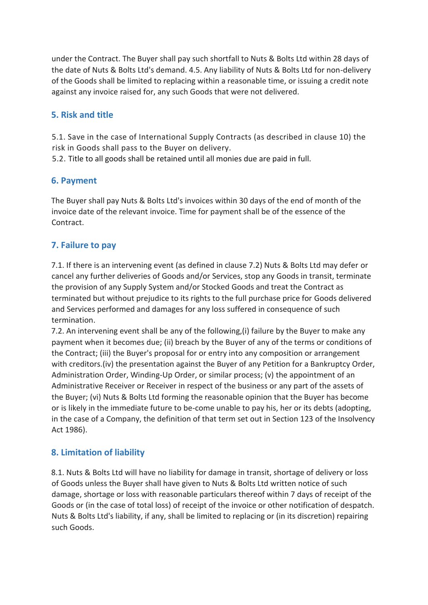under the Contract. The Buyer shall pay such shortfall to Nuts & Bolts Ltd within 28 days of the date of Nuts & Bolts Ltd's demand. 4.5. Any liability of Nuts & Bolts Ltd for non-delivery of the Goods shall be limited to replacing within a reasonable time, or issuing a credit note against any invoice raised for, any such Goods that were not delivered.

# **5. Risk and title**

5.1. Save in the case of International Supply Contracts (as described in clause 10) the risk in Goods shall pass to the Buyer on delivery.

5.2. Title to all goods shall be retained until all monies due are paid in full.

## **6. Payment**

The Buyer shall pay Nuts & Bolts Ltd's invoices within 30 days of the end of month of the invoice date of the relevant invoice. Time for payment shall be of the essence of the Contract.

# **7. Failure to pay**

7.1. If there is an intervening event (as defined in clause 7.2) Nuts & Bolts Ltd may defer or cancel any further deliveries of Goods and/or Services, stop any Goods in transit, terminate the provision of any Supply System and/or Stocked Goods and treat the Contract as terminated but without prejudice to its rights to the full purchase price for Goods delivered and Services performed and damages for any loss suffered in consequence of such termination.

7.2. An intervening event shall be any of the following,(i) failure by the Buyer to make any payment when it becomes due; (ii) breach by the Buyer of any of the terms or conditions of the Contract; (iii) the Buyer's proposal for or entry into any composition or arrangement with creditors.(iv) the presentation against the Buyer of any Petition for a Bankruptcy Order, Administration Order, Winding-Up Order, or similar process; (v) the appointment of an Administrative Receiver or Receiver in respect of the business or any part of the assets of the Buyer; (vi) Nuts & Bolts Ltd forming the reasonable opinion that the Buyer has become or is likely in the immediate future to be-come unable to pay his, her or its debts (adopting, in the case of a Company, the definition of that term set out in Section 123 of the Insolvency Act 1986).

#### **8. Limitation of liability**

8.1. Nuts & Bolts Ltd will have no liability for damage in transit, shortage of delivery or loss of Goods unless the Buyer shall have given to Nuts & Bolts Ltd written notice of such damage, shortage or loss with reasonable particulars thereof within 7 days of receipt of the Goods or (in the case of total loss) of receipt of the invoice or other notification of despatch. Nuts & Bolts Ltd's liability, if any, shall be limited to replacing or (in its discretion) repairing such Goods.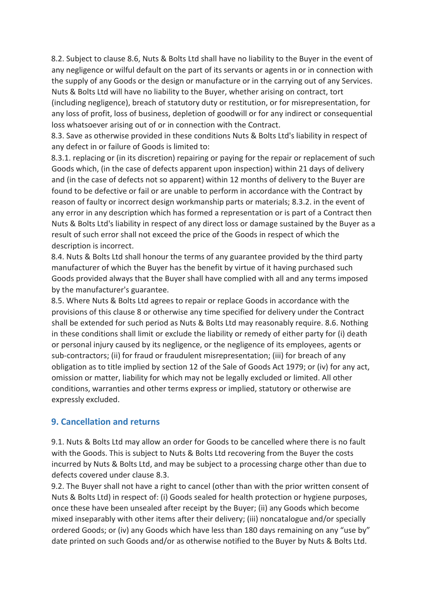8.2. Subject to clause 8.6, Nuts & Bolts Ltd shall have no liability to the Buyer in the event of any negligence or wilful default on the part of its servants or agents in or in connection with the supply of any Goods or the design or manufacture or in the carrying out of any Services. Nuts & Bolts Ltd will have no liability to the Buyer, whether arising on contract, tort (including negligence), breach of statutory duty or restitution, or for misrepresentation, for any loss of profit, loss of business, depletion of goodwill or for any indirect or consequential loss whatsoever arising out of or in connection with the Contract.

8.3. Save as otherwise provided in these conditions Nuts & Bolts Ltd's liability in respect of any defect in or failure of Goods is limited to:

8.3.1. replacing or (in its discretion) repairing or paying for the repair or replacement of such Goods which, (in the case of defects apparent upon inspection) within 21 days of delivery and (in the case of defects not so apparent) within 12 months of delivery to the Buyer are found to be defective or fail or are unable to perform in accordance with the Contract by reason of faulty or incorrect design workmanship parts or materials; 8.3.2. in the event of any error in any description which has formed a representation or is part of a Contract then Nuts & Bolts Ltd's liability in respect of any direct loss or damage sustained by the Buyer as a result of such error shall not exceed the price of the Goods in respect of which the description is incorrect.

8.4. Nuts & Bolts Ltd shall honour the terms of any guarantee provided by the third party manufacturer of which the Buyer has the benefit by virtue of it having purchased such Goods provided always that the Buyer shall have complied with all and any terms imposed by the manufacturer's guarantee.

8.5. Where Nuts & Bolts Ltd agrees to repair or replace Goods in accordance with the provisions of this clause 8 or otherwise any time specified for delivery under the Contract shall be extended for such period as Nuts & Bolts Ltd may reasonably require. 8.6. Nothing in these conditions shall limit or exclude the liability or remedy of either party for (i) death or personal injury caused by its negligence, or the negligence of its employees, agents or sub-contractors; (ii) for fraud or fraudulent misrepresentation; (iii) for breach of any obligation as to title implied by section 12 of the Sale of Goods Act 1979; or (iv) for any act, omission or matter, liability for which may not be legally excluded or limited. All other conditions, warranties and other terms express or implied, statutory or otherwise are expressly excluded.

#### **9. Cancellation and returns**

9.1. Nuts & Bolts Ltd may allow an order for Goods to be cancelled where there is no fault with the Goods. This is subject to Nuts & Bolts Ltd recovering from the Buyer the costs incurred by Nuts & Bolts Ltd, and may be subject to a processing charge other than due to defects covered under clause 8.3.

9.2. The Buyer shall not have a right to cancel (other than with the prior written consent of Nuts & Bolts Ltd) in respect of: (i) Goods sealed for health protection or hygiene purposes, once these have been unsealed after receipt by the Buyer; (ii) any Goods which become mixed inseparably with other items after their delivery; (iii) noncatalogue and/or specially ordered Goods; or (iv) any Goods which have less than 180 days remaining on any "use by" date printed on such Goods and/or as otherwise notified to the Buyer by Nuts & Bolts Ltd.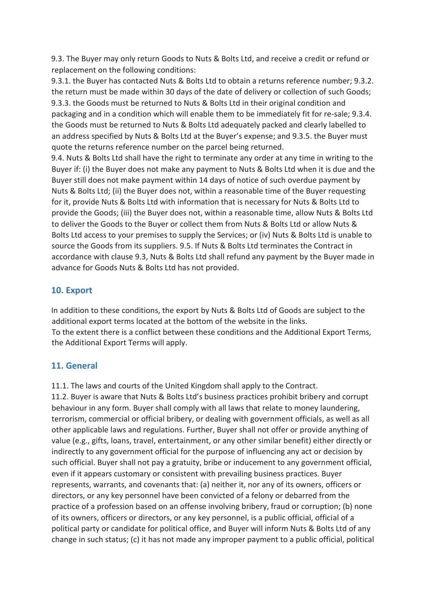9.3. The Buyer may only return Goods to Nuts & Bolts Ltd, and receive a credit or refund or replacement on the following conditions:

9.3.1. the Buyer has contacted Nuts & Bolts Ltd to obtain a returns reference number; 9.3.2. the return must be made within 30 days of the date of delivery or collection of such Goods; 9.3.3. the Goods must be returned to Nuts & Bolts Ltd in their original condition and packaging and in a condition which will enable them to be immediately fit for re-sale; 9.3.4. the Goods must be returned to Nuts & Bolts Ltd adequately packed and clearly labelled to an address specified by Nuts & Bolts Ltd at the Buyer's expense; and 9.3.5. the Buyer must quote the returns reference number on the parcel being returned.

9.4. Nuts & Bolts Ltd shall have the right to terminate any order at any time in writing to the Buyer if: (i) the Buyer does not make any payment to Nuts & Bolts Ltd when it is due and the Buyer still does not make payment within 14 days of notice of such overdue payment by Nuts & Bolts Ltd; (ii) the Buyer does not, within a reasonable time of the Buyer requesting for it, provide Nuts & Bolts Ltd with information that is necessary for Nuts & Bolts Ltd to provide the Goods; (iii) the Buyer does not, within a reasonable time, allow Nuts & Bolts Ltd to deliver the Goods to the Buyer or collect them from Nuts & Bolts Ltd or allow Nuts & Bolts Ltd access to your premises to supply the Services; or (iv) Nuts & Bolts Ltd is unable to source the Goods from its suppliers. 9.5. If Nuts & Bolts Ltd terminates the Contract in accordance with clause 9.3, Nuts & Bolts Ltd shall refund any payment by the Buyer made in advance for Goods Nuts & Bolts Ltd has not provided.

#### **10. Export**

In addition to these conditions, the export by Nuts & Bolts Ltd of Goods are subject to the additional export terms located at the bottom of the website in the links. To the extent there is a conflict between these conditions and the Additional Export Terms, the Additional Export Terms will apply.

# **11. General**

11.1. The laws and courts of the United Kingdom shall apply to the Contract.

11.2. Buyer is aware that Nuts & Bolts Ltd's business practices prohibit bribery and corrupt behaviour in any form. Buyer shall comply with all laws that relate to money laundering, terrorism, commercial or official bribery, or dealing with government officials, as well as all other applicable laws and regulations. Further, Buyer shall not offer or provide anything of value (e.g., gifts, loans, travel, entertainment, or any other similar benefit) either directly or indirectly to any government official for the purpose of influencing any act or decision by such official. Buyer shall not pay a gratuity, bribe or inducement to any government official, even if it appears customary or consistent with prevailing business practices. Buyer represents, warrants, and covenants that: (a) neither it, nor any of its owners, officers or directors, or any key personnel have been convicted of a felony or debarred from the practice of a profession based on an offense involving bribery, fraud or corruption; (b) none of its owners, officers or directors, or any key personnel, is a public official, official of a political party or candidate for political office, and Buyer will inform Nuts & Bolts Ltd of any change in such status; (c) it has not made any improper payment to a public official, political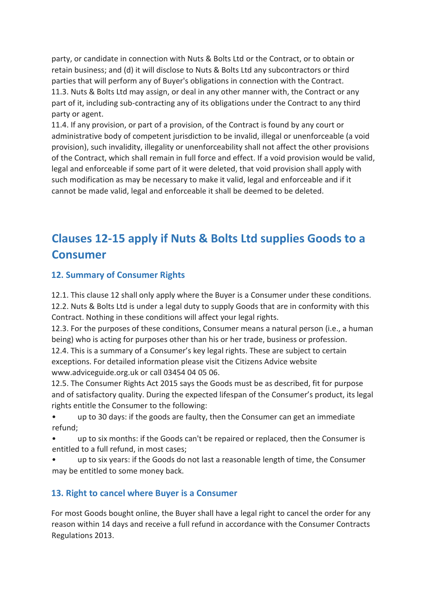party, or candidate in connection with Nuts & Bolts Ltd or the Contract, or to obtain or retain business; and (d) it will disclose to Nuts & Bolts Ltd any subcontractors or third parties that will perform any of Buyer's obligations in connection with the Contract. 11.3. Nuts & Bolts Ltd may assign, or deal in any other manner with, the Contract or any part of it, including sub-contracting any of its obligations under the Contract to any third party or agent.

11.4. If any provision, or part of a provision, of the Contract is found by any court or administrative body of competent jurisdiction to be invalid, illegal or unenforceable (a void provision), such invalidity, illegality or unenforceability shall not affect the other provisions of the Contract, which shall remain in full force and effect. If a void provision would be valid, legal and enforceable if some part of it were deleted, that void provision shall apply with such modification as may be necessary to make it valid, legal and enforceable and if it cannot be made valid, legal and enforceable it shall be deemed to be deleted.

# **Clauses 12-15 apply if Nuts & Bolts Ltd supplies Goods to a Consumer**

# **12. Summary of Consumer Rights**

12.1. This clause 12 shall only apply where the Buyer is a Consumer under these conditions. 12.2. Nuts & Bolts Ltd is under a legal duty to supply Goods that are in conformity with this

Contract. Nothing in these conditions will affect your legal rights.

12.3. For the purposes of these conditions, Consumer means a natural person (i.e., a human being) who is acting for purposes other than his or her trade, business or profession. 12.4. This is a summary of a Consumer's key legal rights. These are subject to certain

exceptions. For detailed information please visit the Citizens Advice website www.adviceguide.org.uk or call 03454 04 05 06.

12.5. The Consumer Rights Act 2015 says the Goods must be as described, fit for purpose and of satisfactory quality. During the expected lifespan of the Consumer's product, its legal rights entitle the Consumer to the following:

- up to 30 days: if the goods are faulty, then the Consumer can get an immediate refund;
- up to six months: if the Goods can't be repaired or replaced, then the Consumer is entitled to a full refund, in most cases;
- up to six years: if the Goods do not last a reasonable length of time, the Consumer may be entitled to some money back.

# **13. Right to cancel where Buyer is a Consumer**

For most Goods bought online, the Buyer shall have a legal right to cancel the order for any reason within 14 days and receive a full refund in accordance with the Consumer Contracts Regulations 2013.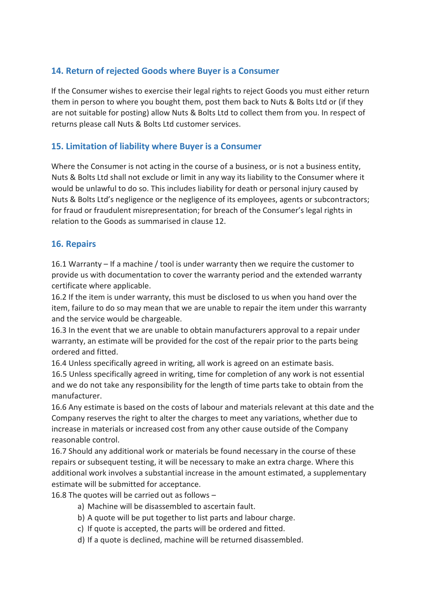# **14. Return of rejected Goods where Buyer is a Consumer**

If the Consumer wishes to exercise their legal rights to reject Goods you must either return them in person to where you bought them, post them back to Nuts & Bolts Ltd or (if they are not suitable for posting) allow Nuts & Bolts Ltd to collect them from you. In respect of returns please call Nuts & Bolts Ltd customer services.

# **15. Limitation of liability where Buyer is a Consumer**

Where the Consumer is not acting in the course of a business, or is not a business entity, Nuts & Bolts Ltd shall not exclude or limit in any way its liability to the Consumer where it would be unlawful to do so. This includes liability for death or personal injury caused by Nuts & Bolts Ltd's negligence or the negligence of its employees, agents or subcontractors; for fraud or fraudulent misrepresentation; for breach of the Consumer's legal rights in relation to the Goods as summarised in clause 12.

#### **16. Repairs**

16.1 Warranty – If a machine / tool is under warranty then we require the customer to provide us with documentation to cover the warranty period and the extended warranty certificate where applicable.

16.2 If the item is under warranty, this must be disclosed to us when you hand over the item, failure to do so may mean that we are unable to repair the item under this warranty and the service would be chargeable.

16.3 In the event that we are unable to obtain manufacturers approval to a repair under warranty, an estimate will be provided for the cost of the repair prior to the parts being ordered and fitted.

16.4 Unless specifically agreed in writing, all work is agreed on an estimate basis. 16.5 Unless specifically agreed in writing, time for completion of any work is not essential and we do not take any responsibility for the length of time parts take to obtain from the manufacturer.

16.6 Any estimate is based on the costs of labour and materials relevant at this date and the Company reserves the right to alter the charges to meet any variations, whether due to increase in materials or increased cost from any other cause outside of the Company reasonable control.

16.7 Should any additional work or materials be found necessary in the course of these repairs or subsequent testing, it will be necessary to make an extra charge. Where this additional work involves a substantial increase in the amount estimated, a supplementary estimate will be submitted for acceptance.

16.8 The quotes will be carried out as follows –

- a) Machine will be disassembled to ascertain fault.
- b) A quote will be put together to list parts and labour charge.
- c) If quote is accepted, the parts will be ordered and fitted.
- d) If a quote is declined, machine will be returned disassembled.